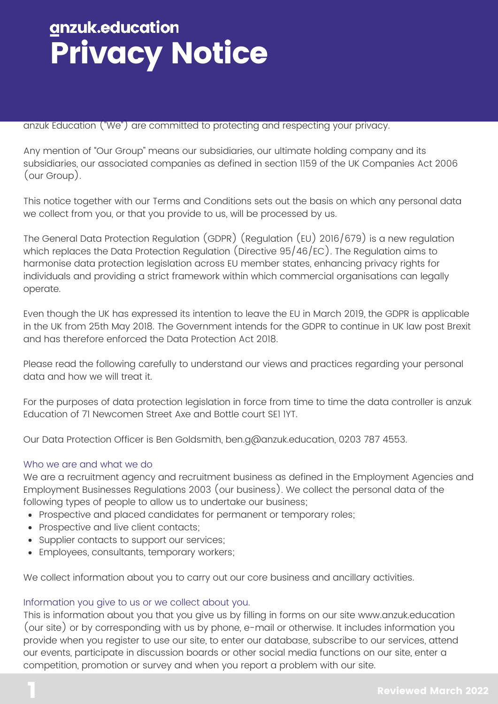anzuk Education ("We") are committed to protecting and respecting your privacy.

Any mention of "Our Group" means our subsidiaries, our ultimate holding company and its subsidiaries, our associated companies as defined in section 1159 of the UK Companies Act 2006 (our Group).

This notice together with our [Terms and Conditions](https://www.anzuk.education/docs/terms-and-conditions) sets out the basis on which any personal data we collect from you, or that you provide to us, will be processed by us.

The General Data Protection Regulation (GDPR) (Regulation (EU) 2016/679) is a new regulation which replaces the Data Protection Regulation (Directive 95/46/EC). The Regulation aims to harmonise data protection legislation across EU member states, enhancing privacy rights for individuals and providing a strict framework within which commercial organisations can legally operate.

Even though the UK has expressed its intention to leave the EU in March 2019, the GDPR is applicable in the UK from 25th May 2018. The Government intends for the GDPR to continue in UK law post Brexit and has therefore enforced the Data Protection Act 2018.

Please read the following carefully to understand our views and practices regarding your personal data and how we will treat it.

For the purposes of data protection legislation in force from time to time the data controller is anzuk Education of 71 Newcomen Street Axe and Bottle court SE1 1YT.

Our Data Protection Officer is Ben Goldsmith, [ben.g@anzuk.education,](mailto:ben.g@anzuk.education) 0203 787 4553.

#### Who we are and what we do

We are a recruitment agency and recruitment business as defined in the Employment Agencies and Employment Businesses Regulations 2003 (our business). We collect the personal data of the following types of people to allow us to undertake our business;

- Prospective and placed candidates for permanent or temporary roles;
- Prospective and live client contacts;
- Supplier contacts to support our services;
- Employees, consultants, temporary workers;

We collect information about you to carry out our core business and ancillary activities.

#### Information you give to us or we collect about you.

This is information about you that you give us by filling in forms on our site www.anzuk.education (our site) or by corresponding with us by phone, e-mail or otherwise. It includes information you provide when you register to use our site, to enter our database, subscribe to our services, attend our events, participate in discussion boards or other social media functions on our site, enter a competition, promotion or survey and when you report a problem with our site.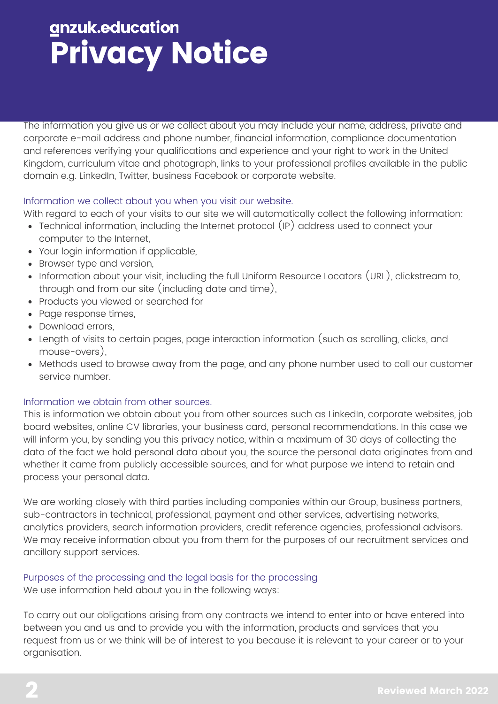The information you give us or we collect about you may include your name, address, private and corporate e-mail address and phone number, financial information, compliance documentation and references verifying your qualifications and experience and your right to work in the United Kingdom, curriculum vitae and photograph, links to your professional profiles available in the public domain e.g. LinkedIn, Twitter, business Facebook or corporate website.

### Information we collect about you when you visit our website.

With regard to each of your visits to our site we will automatically collect the following information:

- Technical information, including the Internet protocol (IP) address used to connect your computer to the Internet,
- Your login information if applicable,
- Browser type and version,
- Information about your visit, including the full Uniform Resource Locators (URL), clickstream to, through and from our site (including date and time),
- Products you viewed or searched for
- Page response times,
- Download errors,
- Length of visits to certain pages, page interaction information (such as scrolling, clicks, and mouse-overs),
- Methods used to browse away from the page, and any phone number used to call our customer service number.

### Information we obtain from other sources.

This is information we obtain about you from other sources such as LinkedIn, corporate websites, job board websites, online CV libraries, your business card, personal recommendations. In this case we will inform you, by sending you this privacy notice, within a maximum of 30 days of collecting the data of the fact we hold personal data about you, the source the personal data originates from and whether it came from publicly accessible sources, and for what purpose we intend to retain and process your personal data.

We are working closely with third parties including companies within our Group, business partners, sub-contractors in technical, professional, payment and other services, advertising networks, analytics providers, search information providers, credit reference agencies, professional advisors. We may receive information about you from them for the purposes of our recruitment services and ancillary support services.

### Purposes of the processing and the legal basis for the processing We use information held about you in the following ways:

To carry out our obligations arising from any contracts we intend to enter into or have entered into between you and us and to provide you with the information, products and services that you request from us or we think will be of interest to you because it is relevant to your career or to your organisation.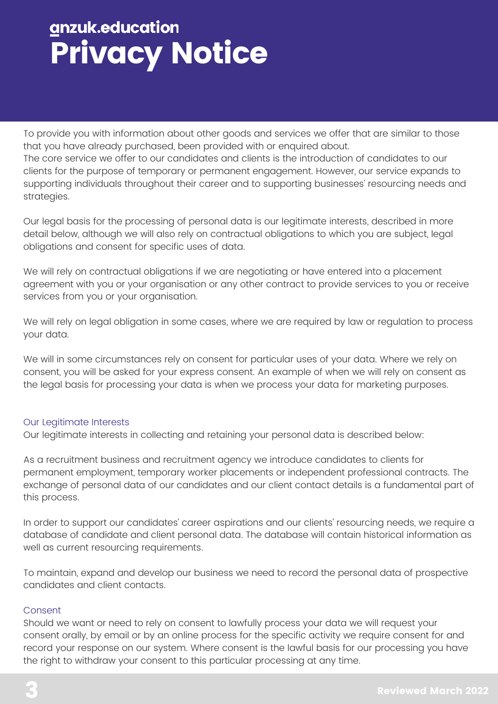To provide you with information about other goods and services we offer that are similar to those that you have already purchased, been provided with or enquired about.

The core service we offer to our candidates and clients is the introduction of candidates to our clients for the purpose of temporary or permanent engagement. However, our service expands to supporting individuals throughout their career and to supporting businesses' resourcing needs and strategies.

Our legal basis for the processing of personal data is our legitimate interests, described in more detail below, although we will also rely on contractual obligations to which you are subject, legal obligations and consent for specific uses of data.

We will rely on contractual obligations if we are negotiating or have entered into a placement agreement with you or your organisation or any other contract to provide services to you or receive services from you or your organisation.

We will rely on legal obligation in some cases, where we are required by law or regulation to process your data.

We will in some circumstances rely on consent for particular uses of your data. Where we rely on consent, you will be asked for your express consent. An example of when we will rely on consent as the legal basis for processing your data is when we process your data for marketing purposes.

## Our Legitimate Interests

Our legitimate interests in collecting and retaining your personal data is described below:

As a recruitment business and recruitment agency we introduce candidates to clients for permanent employment, temporary worker placements or independent professional contracts. The exchange of personal data of our candidates and our client contact details is a fundamental part of this process.

In order to support our candidates' career aspirations and our clients' resourcing needs, we require a database of candidate and client personal data. The database will contain historical information as well as current resourcing requirements.

To maintain, expand and develop our business we need to record the personal data of prospective candidates and client contacts.

### Consent

Should we want or need to rely on consent to lawfully process your data we will request your consent orally, by email or by an online process for the specific activity we require consent for and record your response on our system. Where consent is the lawful basis for our processing you have the right to withdraw your consent to this particular processing at any time.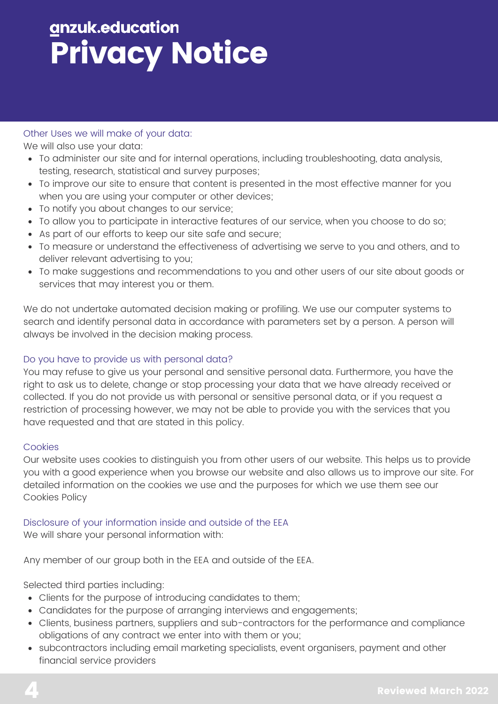### Other Uses we will make of your data:

We will also use your data:

- To administer our site and for internal operations, including troubleshooting, data analysis, testing, research, statistical and survey purposes;
- To improve our site to ensure that content is presented in the most effective manner for you when you are using your computer or other devices;
- To notify you about changes to our service;
- To allow you to participate in interactive features of our service, when you choose to do so;
- As part of our efforts to keep our site safe and secure;
- To measure or understand the effectiveness of advertising we serve to you and others, and to deliver relevant advertising to you;
- To make suggestions and recommendations to you and other users of our site about goods or services that may interest you or them.

We do not undertake automated decision making or profiling. We use our computer systems to search and identify personal data in accordance with parameters set by a person. A person will always be involved in the decision making process.

### Do you have to provide us with personal data?

You may refuse to give us your personal and sensitive personal data. Furthermore, you have the right to ask us to delete, change or stop processing your data that we have already received or collected. If you do not provide us with personal or sensitive personal data, or if you request a restriction of processing however, we may not be able to provide you with the services that you have requested and that are stated in this policy.

### **Cookies**

Our website uses cookies to distinguish you from other users of our website. This helps us to provide you with a good experience when you browse our website and also allows us to improve our site. For detailed information on the cookies we use and the purposes for which we use them see our [Cookies Policy](https://www.anzuk.education/docs/cookies-policy)

## Disclosure of your information inside and outside of the EEA

We will share your personal information with:

Any member of our group both in the EEA and outside of the EEA.

Selected third parties including:

- Clients for the purpose of introducing candidates to them;
- Candidates for the purpose of arranging interviews and engagements;
- Clients, business partners, suppliers and sub-contractors for the performance and compliance obligations of any contract we enter into with them or you;
- subcontractors including email marketing specialists, event organisers, payment and other financial service providers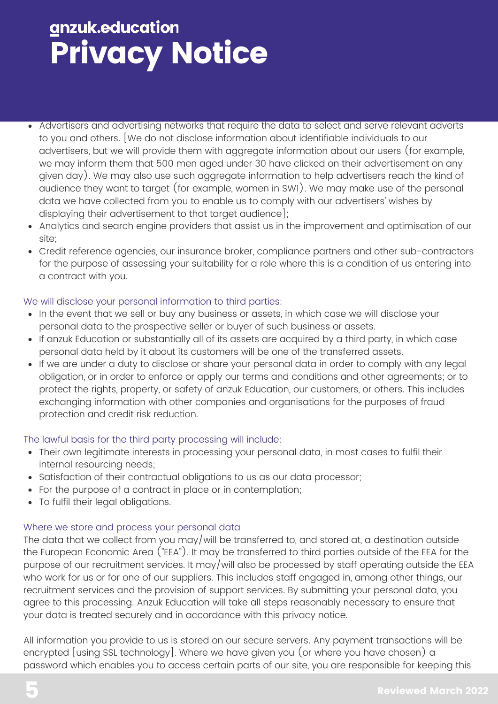- Advertisers and advertising networks that require the data to select and serve relevant adverts to you and others. [We do not disclose information about identifiable individuals to our advertisers, but we will provide them with aggregate information about our users (for example, we may inform them that 500 men aged under 30 have clicked on their advertisement on any given day). We may also use such aggregate information to help advertisers reach the kind of audience they want to target (for example, women in SW1). We may make use of the personal data we have collected from you to enable us to comply with our advertisers' wishes by displaying their advertisement to that target audience];
- Analytics and search engine providers that assist us in the improvement and optimisation of our site;
- Credit reference agencies, our insurance broker, compliance partners and other sub-contractors for the purpose of assessing your suitability for a role where this is a condition of us entering into a contract with you.

### We will disclose your personal information to third parties:

- In the event that we sell or buy any business or assets, in which case we will disclose your personal data to the prospective seller or buyer of such business or assets.
- If anzuk Education or substantially all of its assets are acquired by a third party, in which case personal data held by it about its customers will be one of the transferred assets.
- If we are under a duty to disclose or share your personal data in order to comply with any legal obligation, or in order to enforce or apply our [terms and conditions](https://www.anzuk.education/docs/terms-and-conditions) and other agreements; or to protect the rights, property, or safety of anzuk Education, our customers, or others. This includes exchanging information with other companies and organisations for the purposes of fraud protection and credit risk reduction.

### The lawful basis for the third party processing will include:

- Their own legitimate interests in processing your personal data, in most cases to fulfil their internal resourcing needs;
- Satisfaction of their contractual obligations to us as our data processor;
- For the purpose of a contract in place or in contemplation;
- To fulfil their legal obligations.

## Where we store and process your personal data

The data that we collect from you may/will be transferred to, and stored at, a destination outside the European Economic Area ("EEA"). It may be transferred to third parties outside of the EEA for the purpose of our recruitment services. It may/will also be processed by staff operating outside the EEA who work for us or for one of our suppliers. This includes staff engaged in, among other things, our recruitment services and the provision of support services. By submitting your personal data, you agree to this processing. Anzuk Education will take all steps reasonably necessary to ensure that your data is treated securely and in accordance with this privacy notice.

All information you provide to us is stored on our secure servers. Any payment transactions will be encrypted [using SSL technology]. Where we have given you (or where you have chosen) a password which enables you to access certain parts of our site, you are responsible for keeping this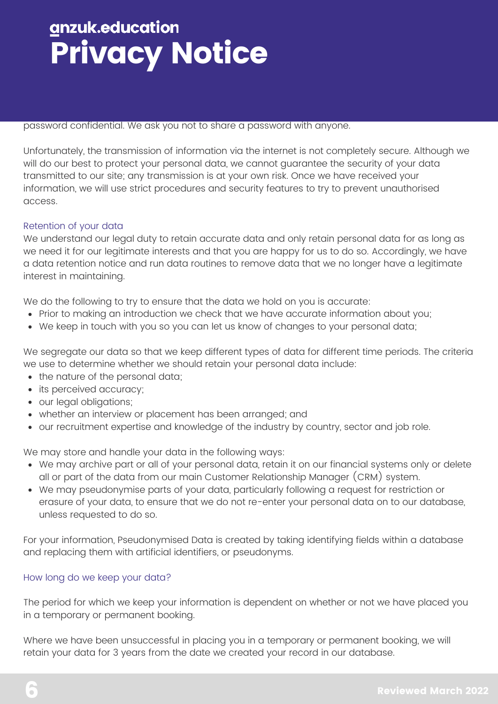#### password confidential. We ask you not to share a password with anyone.

Unfortunately, the transmission of information via the internet is not completely secure. Although we will do our best to protect your personal data, we cannot guarantee the security of your data transmitted to our site; any transmission is at your own risk. Once we have received your information, we will use strict procedures and security features to try to prevent unauthorised access.

#### Retention of your data

We understand our legal duty to retain accurate data and only retain personal data for as long as we need it for our legitimate interests and that you are happy for us to do so. Accordingly, we have a data retention notice and run data routines to remove data that we no longer have a legitimate interest in maintaining.

We do the following to try to ensure that the data we hold on you is accurate:

- Prior to making an introduction we check that we have accurate information about you;
- We keep in touch with you so you can let us know of changes to your personal data;

We segregate our data so that we keep different types of data for different time periods. The criteria we use to determine whether we should retain your personal data include:

- the nature of the personal data;
- its perceived accuracy;
- our legal obligations;
- whether an interview or placement has been arranged; and
- our recruitment expertise and knowledge of the industry by country, sector and job role.

We may store and handle your data in the following ways:

- We may archive part or all of your personal data, retain it on our financial systems only or delete all or part of the data from our main Customer Relationship Manager (CRM) system.
- We may pseudonymise parts of your data, particularly following a request for restriction or erasure of your data, to ensure that we do not re-enter your personal data on to our database, unless requested to do so.

For your information, Pseudonymised Data is created by taking identifying fields within a database and replacing them with artificial identifiers, or pseudonyms.

#### How long do we keep your data?

The period for which we keep your information is dependent on whether or not we have placed you in a temporary or permanent booking.

Where we have been unsuccessful in placing you in a temporary or permanent booking, we will retain your data for 3 years from the date we created your record in our database.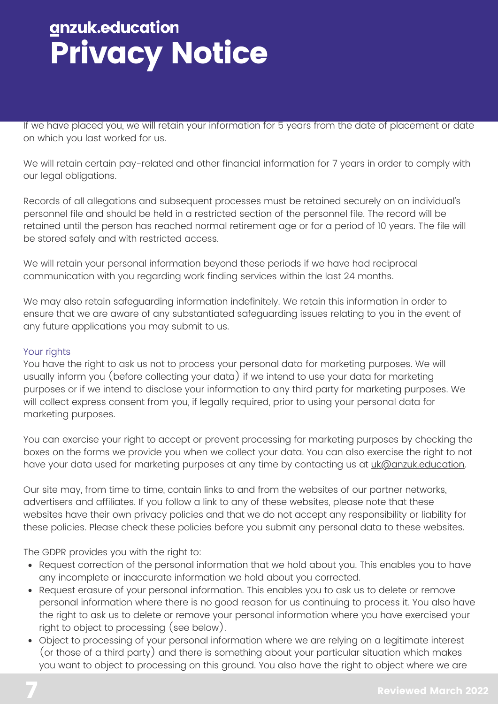If we have placed you, we will retain your information for 5 years from the date of placement or date on which you last worked for us.

We will retain certain pay-related and other financial information for 7 years in order to comply with our legal obligations.

Records of all allegations and subsequent processes must be retained securely on an individual's personnel file and should be held in a restricted section of the personnel file. The record will be retained until the person has reached normal retirement age or for a period of 10 years. The file will be stored safely and with restricted access.

We will retain your personal information beyond these periods if we have had reciprocal communication with you regarding work finding services within the last 24 months.

We may also retain safeguarding information indefinitely. We retain this information in order to ensure that we are aware of any substantiated safeguarding issues relating to you in the event of any future applications you may submit to us.

### Your rights

You have the right to ask us not to process your personal data for marketing purposes. We will usually inform you (before collecting your data) if we intend to use your data for marketing purposes or if we intend to disclose your information to any third party for marketing purposes. We will collect express consent from you, if legally required, prior to using your personal data for marketing purposes.

You can exercise your right to accept or prevent processing for marketing purposes by checking the boxes on the forms we provide you when we collect your data. You can also exercise the right to not have your data used for marketing purposes at any time by contacting us at [uk@anzuk.education.](mailto:uk@anzuk.education)

Our site may, from time to time, contain links to and from the websites of our partner networks, advertisers and affiliates. If you follow a link to any of these websites, please note that these websites have their own privacy policies and that we do not accept any responsibility or liability for these policies. Please check these policies before you submit any personal data to these websites.

The GDPR provides you with the right to:

- Request correction of the personal information that we hold about you. This enables you to have any incomplete or inaccurate information we hold about you corrected.
- Request erasure of your personal information. This enables you to ask us to delete or remove personal information where there is no good reason for us continuing to process it. You also have the right to ask us to delete or remove your personal information where you have exercised your right to object to processing (see below).
- Object to processing of your personal information where we are relying on a legitimate interest (or those of a third party) and there is something about your particular situation which makes you want to object to processing on this ground. You also have the right to object where we are